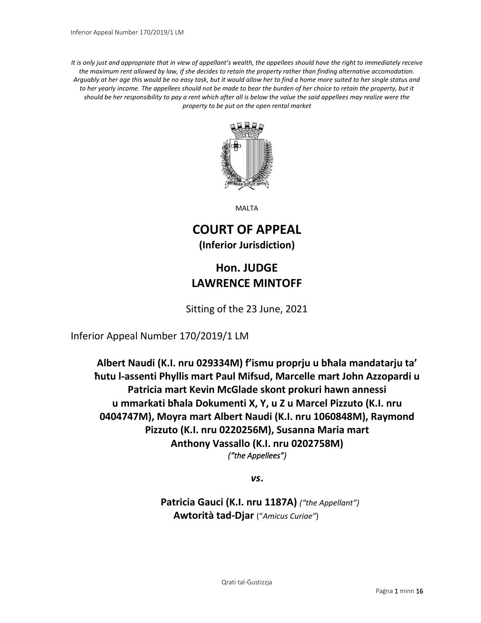*It is only just and appropriate that in view of appellant's wealth, the appellees should have the right to immediately receive the maximum rent allowed by law, if she decides to retain the property rather than finding alternative accomodation. Arguably at her age this would be no easy task, but it would allow her to find a home more suited to her single status and*  to her yearly income. The appellees should not be made to bear the burden of her choice to retain the property, but it *should be her responsibility to pay a rent which after all is below the value the said appellees may realize were the property to be put on the open rental market*



MALTA

# **COURT OF APPEAL (Inferior Jurisdiction)**

# **Hon. JUDGE LAWRENCE MINTOFF**

Sitting of the 23 June, 2021

Inferior Appeal Number 170/2019/1 LM

**Albert Naudi (K.I. nru 029334M) f'ismu proprju u bħala mandatarju ta' ħutu l-assenti Phyllis mart Paul Mifsud, Marcelle mart John Azzopardi u Patricia mart Kevin McGlade skont prokuri hawn annessi u mmarkati bħala Dokumenti X, Y, u Z u Marcel Pizzuto (K.I. nru 0404747M), Moyra mart Albert Naudi (K.I. nru 1060848M), Raymond Pizzuto (K.I. nru 0220256M), Susanna Maria mart Anthony Vassallo (K.I. nru 0202758M)** *("the Appellees")* 

*vs***.**

**Patricia Gauci (K.I. nru 1187A)** *("the Appellant")* **Awtorità tad-Djar** ("*Amicus Curiae"*)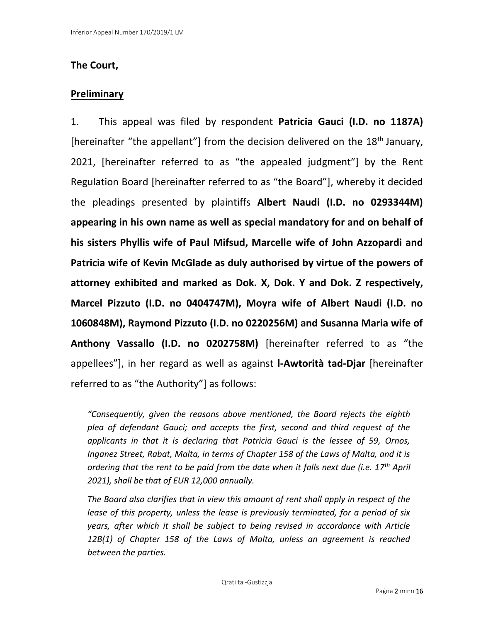### **The Court,**

### **Preliminary**

1. This appeal was filed by respondent **Patricia Gauci (I.D. no 1187A)**  [hereinafter "the appellant"] from the decision delivered on the  $18<sup>th</sup>$  January, 2021, [hereinafter referred to as "the appealed judgment"] by the Rent Regulation Board [hereinafter referred to as "the Board"], whereby it decided the pleadings presented by plaintiffs **Albert Naudi (I.D. no 0293344M) appearing in his own name as well as special mandatory for and on behalf of his sisters Phyllis wife of Paul Mifsud, Marcelle wife of John Azzopardi and Patricia wife of Kevin McGlade as duly authorised by virtue of the powers of attorney exhibited and marked as Dok. X, Dok. Y and Dok. Z respectively, Marcel Pizzuto (I.D. no 0404747M), Moyra wife of Albert Naudi (I.D. no 1060848M), Raymond Pizzuto (I.D. no 0220256M) and Susanna Maria wife of Anthony Vassallo (I.D. no 0202758M)** [hereinafter referred to as "the appellees"], in her regard as well as against **l-Awtorità tad-Djar** [hereinafter referred to as "the Authority"] as follows:

*"Consequently, given the reasons above mentioned, the Board rejects the eighth plea of defendant Gauci; and accepts the first, second and third request of the applicants in that it is declaring that Patricia Gauci is the lessee of 59, Ornos, Inganez Street, Rabat, Malta, in terms of Chapter 158 of the Laws of Malta, and it is ordering that the rent to be paid from the date when it falls next due (i.e. 17th April 2021), shall be that of EUR 12,000 annually.*

*The Board also clarifies that in view this amount of rent shall apply in respect of the lease of this property, unless the lease is previously terminated, for a period of six years, after which it shall be subject to being revised in accordance with Article 12B(1) of Chapter 158 of the Laws of Malta, unless an agreement is reached between the parties.*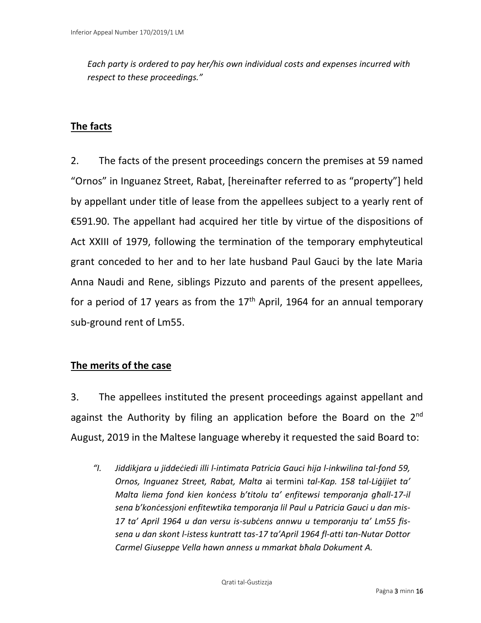*Each party is ordered to pay her/his own individual costs and expenses incurred with respect to these proceedings."*

## **The facts**

2. The facts of the present proceedings concern the premises at 59 named "Ornos" in Inguanez Street, Rabat, [hereinafter referred to as "property"] held by appellant under title of lease from the appellees subject to a yearly rent of €591.90. The appellant had acquired her title by virtue of the dispositions of Act XXIII of 1979, following the termination of the temporary emphyteutical grant conceded to her and to her late husband Paul Gauci by the late Maria Anna Naudi and Rene, siblings Pizzuto and parents of the present appellees, for a period of 17 years as from the  $17<sup>th</sup>$  April, 1964 for an annual temporary sub-ground rent of Lm55.

## **The merits of the case**

3. The appellees instituted the present proceedings against appellant and against the Authority by filing an application before the Board on the  $2^{nd}$ August, 2019 in the Maltese language whereby it requested the said Board to:

*"I. Jiddikjara u jiddeċiedi illi l-intimata Patricia Gauci hija l-inkwilina tal-fond 59, Ornos, Inguanez Street, Rabat, Malta* ai termini *tal-Kap. 158 tal-Liġijiet ta' Malta liema fond kien konċess b'titolu ta' enfitewsi temporanja għall-17-il sena b'konċessjoni enfitewtika temporanja lil Paul u Patricia Gauci u dan mis-17 ta' April 1964 u dan versu is-subċens annwu u temporanju ta' Lm55 fissena u dan skont l-istess kuntratt tas-17 ta'April 1964 fl-atti tan-Nutar Dottor Carmel Giuseppe Vella hawn anness u mmarkat bħala Dokument A.*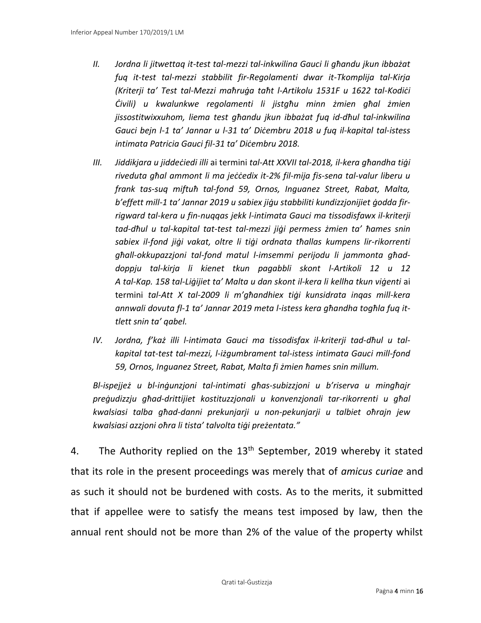- *II. Jordna li jitwettaq it-test tal-mezzi tal-inkwilina Gauci li għandu jkun ibbażat fuq it-test tal-mezzi stabbilit fir-Regolamenti dwar it-Tkomplija tal-Kirja (Kriterji ta' Test tal-Mezzi maħruġa taħt l-Artikolu 1531F u 1622 tal-Kodiċi Ċivili) u kwalunkwe regolamenti li jistgħu minn żmien għal żmien jissostitwixxuhom, liema test għandu jkun ibbażat fuq id-dħul tal-inkwilina Gauci bejn l-1 ta' Jannar u l-31 ta' Diċembru 2018 u fuq il-kapital tal-istess intimata Patricia Gauci fil-31 ta' Diċembru 2018.*
- *III. Jiddikjara u jiddeċiedi illi* ai termini *tal-Att XXVII tal-2018, il-kera għandha tiġi riveduta għal ammont li ma jeċċedix it-2% fil-mija fis-sena tal-valur liberu u frank tas-suq miftuħ tal-fond 59, Ornos, Inguanez Street, Rabat, Malta, b'effett mill-1 ta' Jannar 2019 u sabiex jiġu stabbiliti kundizzjonijiet ġodda firrigward tal-kera u fin-nuqqas jekk l-intimata Gauci ma tissodisfawx il-kriterji tad-dħul u tal-kapital tat-test tal-mezzi jiġi permess żmien ta' ħames snin sabiex il-fond jiġi vakat, oltre li tiġi ordnata tħallas kumpens lir-rikorrenti għall-okkupazzjoni tal-fond matul l-imsemmi perijodu li jammonta għaddoppju tal-kirja li kienet tkun pagabbli skont l-Artikoli 12 u 12 A tal-Kap. 158 tal-Liġijiet ta' Malta u dan skont il-kera li kellha tkun viġenti* ai termini *tal-Att X tal-2009 li m'għandhiex tiġi kunsidrata inqas mill-kera annwali dovuta fl-1 ta' Jannar 2019 meta l-istess kera għandha togħla fuq ittlett snin ta' qabel.*
- *IV. Jordna, f'każ illi l-intimata Gauci ma tissodisfax il-kriterji tad-dħul u talkapital tat-test tal-mezzi, l-iżgumbrament tal-istess intimata Gauci mill-fond 59, Ornos, Inguanez Street, Rabat, Malta fi żmien ħames snin millum.*

*Bl-ispejjeż u bl-inġunzjoni tal-intimati għas-subizzjoni u b'riserva u mingħajr preġudizzju għad-drittijiet kostituzzjonali u konvenzjonali tar-rikorrenti u għal kwalsiasi talba għad-danni prekunjarji u non-pekunjarji u talbiet oħrajn jew kwalsiasi azzjoni oħra li tista' talvolta tiġi preżentata."*

4. The Authority replied on the  $13<sup>th</sup>$  September, 2019 whereby it stated that its role in the present proceedings was merely that of *amicus curiae* and as such it should not be burdened with costs. As to the merits, it submitted that if appellee were to satisfy the means test imposed by law, then the annual rent should not be more than 2% of the value of the property whilst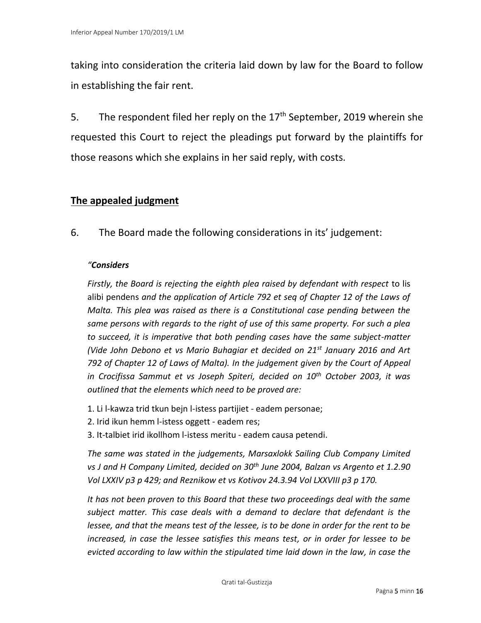taking into consideration the criteria laid down by law for the Board to follow in establishing the fair rent.

5. The respondent filed her reply on the  $17<sup>th</sup>$  September, 2019 wherein she requested this Court to reject the pleadings put forward by the plaintiffs for those reasons which she explains in her said reply, with costs.

### **The appealed judgment**

6. The Board made the following considerations in its' judgement:

### *"Considers*

*Firstly, the Board is rejecting the eighth plea raised by defendant with respect* to lis alibi pendens *and the application of Article 792 et seq of Chapter 12 of the Laws of Malta. This plea was raised as there is a Constitutional case pending between the same persons with regards to the right of use of this same property. For such a plea to succeed, it is imperative that both pending cases have the same subject-matter (Vide John Debono et vs Mario Buhagiar et decided on 21st January 2016 and Art 792 of Chapter 12 of Laws of Malta). In the judgement given by the Court of Appeal in Crocifissa Sammut et vs Joseph Spiteri, decided on 10th October 2003, it was outlined that the elements which need to be proved are:* 

- 1. Li l-kawza trid tkun bejn l-istess partijiet eadem personae;
- 2. Irid ikun hemm l-istess oggett eadem res;
- 3. It-talbiet irid ikollhom l-istess meritu eadem causa petendi.

*The same was stated in the judgements, Marsaxlokk Sailing Club Company Limited vs J and H Company Limited, decided on 30th June 2004, Balzan vs Argento et 1.2.90 Vol LXXIV p3 p 429; and Reznikow et vs Kotivov 24.3.94 Vol LXXVIII p3 p 170.*

*It has not been proven to this Board that these two proceedings deal with the same subject matter. This case deals with a demand to declare that defendant is the lessee, and that the means test of the lessee, is to be done in order for the rent to be increased, in case the lessee satisfies this means test, or in order for lessee to be evicted according to law within the stipulated time laid down in the law, in case the*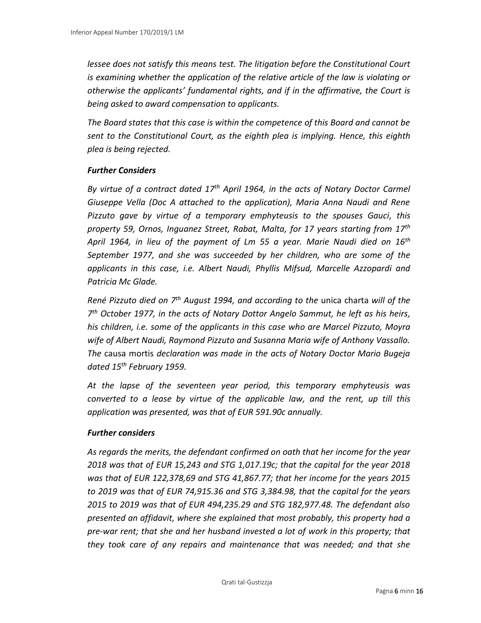*lessee does not satisfy this means test. The litigation before the Constitutional Court is examining whether the application of the relative article of the law is violating or otherwise the applicants' fundamental rights, and if in the affirmative, the Court is being asked to award compensation to applicants.*

*The Board states that this case is within the competence of this Board and cannot be sent to the Constitutional Court, as the eighth plea is implying. Hence, this eighth plea is being rejected.*

#### *Further Considers*

*By virtue of a contract dated 17th April 1964, in the acts of Notary Doctor Carmel Giuseppe Vella (Doc A attached to the application), Maria Anna Naudi and Rene Pizzuto gave by virtue of a temporary emphyteusis to the spouses Gauci, this property 59, Ornos, Inguanez Street, Rabat, Malta, for 17 years starting from 17th April 1964, in lieu of the payment of Lm 55 a year. Marie Naudi died on 16th September 1977, and she was succeeded by her children, who are some of the applicants in this case, i.e. Albert Naudi, Phyllis Mifsud, Marcelle Azzopardi and Patricia Mc Glade.* 

*René Pizzuto died on 7th August 1994, and according to the* unica charta *will of the 7 th October 1977, in the acts of Notary Dottor Angelo Sammut, he left as his heirs, his children, i.e. some of the applicants in this case who are Marcel Pizzuto, Moyra wife of Albert Naudi, Raymond Pizzuto and Susanna Maria wife of Anthony Vassallo. The* causa mortis *declaration was made in the acts of Notary Doctor Mario Bugeja dated 15th February 1959.* 

*At the lapse of the seventeen year period, this temporary emphyteusis was converted to a lease by virtue of the applicable law, and the rent, up till this application was presented, was that of EUR 591.90c annually.*

#### *Further considers*

*As regards the merits, the defendant confirmed on oath that her income for the year 2018 was that of EUR 15,243 and STG 1,017.19c; that the capital for the year 2018 was that of EUR 122,378,69 and STG 41,867.77; that her income for the years 2015 to 2019 was that of EUR 74,915.36 and STG 3,384.98, that the capital for the years 2015 to 2019 was that of EUR 494,235.29 and STG 182,977.48. The defendant also presented an affidavit, where she explained that most probably, this property had a pre-war rent; that she and her husband invested a lot of work in this property; that they took care of any repairs and maintenance that was needed; and that she*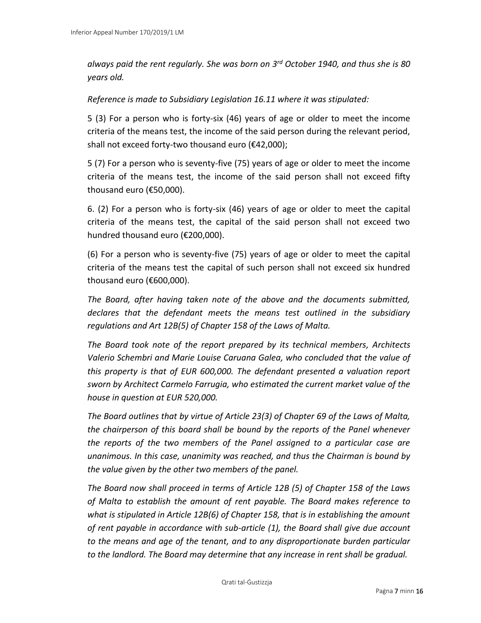*always paid the rent regularly. She was born on 3rd October 1940, and thus she is 80 years old.* 

#### *Reference is made to Subsidiary Legislation 16.11 where it was stipulated:*

5 (3) For a person who is forty-six (46) years of age or older to meet the income criteria of the means test, the income of the said person during the relevant period, shall not exceed forty-two thousand euro (€42,000);

5 (7) For a person who is seventy-five (75) years of age or older to meet the income criteria of the means test, the income of the said person shall not exceed fifty thousand euro (€50,000).

6. (2) For a person who is forty-six (46) years of age or older to meet the capital criteria of the means test, the capital of the said person shall not exceed two hundred thousand euro (€200,000).

(6) For a person who is seventy-five (75) years of age or older to meet the capital criteria of the means test the capital of such person shall not exceed six hundred thousand euro (€600,000).

*The Board, after having taken note of the above and the documents submitted, declares that the defendant meets the means test outlined in the subsidiary regulations and Art 12B(5) of Chapter 158 of the Laws of Malta.* 

*The Board took note of the report prepared by its technical members, Architects Valerio Schembri and Marie Louise Caruana Galea, who concluded that the value of this property is that of EUR 600,000. The defendant presented a valuation report sworn by Architect Carmelo Farrugia, who estimated the current market value of the house in question at EUR 520,000.* 

*The Board outlines that by virtue of Article 23(3) of Chapter 69 of the Laws of Malta, the chairperson of this board shall be bound by the reports of the Panel whenever the reports of the two members of the Panel assigned to a particular case are unanimous. In this case, unanimity was reached, and thus the Chairman is bound by the value given by the other two members of the panel.* 

*The Board now shall proceed in terms of Article 12B (5) of Chapter 158 of the Laws of Malta to establish the amount of rent payable. The Board makes reference to what is stipulated in Article 12B(6) of Chapter 158, that is in establishing the amount of rent payable in accordance with sub-article (1), the Board shall give due account to the means and age of the tenant, and to any disproportionate burden particular to the landlord. The Board may determine that any increase in rent shall be gradual.*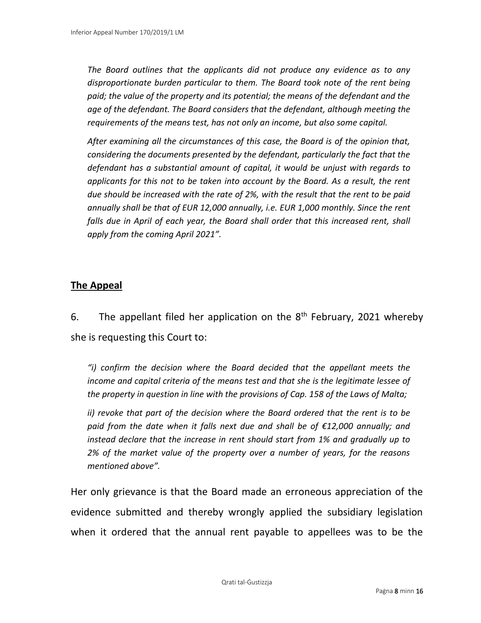*The Board outlines that the applicants did not produce any evidence as to any disproportionate burden particular to them. The Board took note of the rent being paid; the value of the property and its potential; the means of the defendant and the age of the defendant. The Board considers that the defendant, although meeting the requirements of the means test, has not only an income, but also some capital.* 

*After examining all the circumstances of this case, the Board is of the opinion that, considering the documents presented by the defendant, particularly the fact that the defendant has a substantial amount of capital, it would be unjust with regards to applicants for this not to be taken into account by the Board. As a result, the rent due should be increased with the rate of 2%, with the result that the rent to be paid annually shall be that of EUR 12,000 annually, i.e. EUR 1,000 monthly. Since the rent*  falls due in April of each year, the Board shall order that this increased rent, shall *apply from the coming April 2021".*

### **The Appeal**

6. The appellant filed her application on the  $8<sup>th</sup>$  February, 2021 whereby she is requesting this Court to:

*"i) confirm the decision where the Board decided that the appellant meets the income and capital criteria of the means test and that she is the legitimate lessee of the property in question in line with the provisions of Cap. 158 of the Laws of Malta;*

*ii) revoke that part of the decision where the Board ordered that the rent is to be paid from the date when it falls next due and shall be of €12,000 annually; and instead declare that the increase in rent should start from 1% and gradually up to 2% of the market value of the property over a number of years, for the reasons mentioned above".*

Her only grievance is that the Board made an erroneous appreciation of the evidence submitted and thereby wrongly applied the subsidiary legislation when it ordered that the annual rent payable to appellees was to be the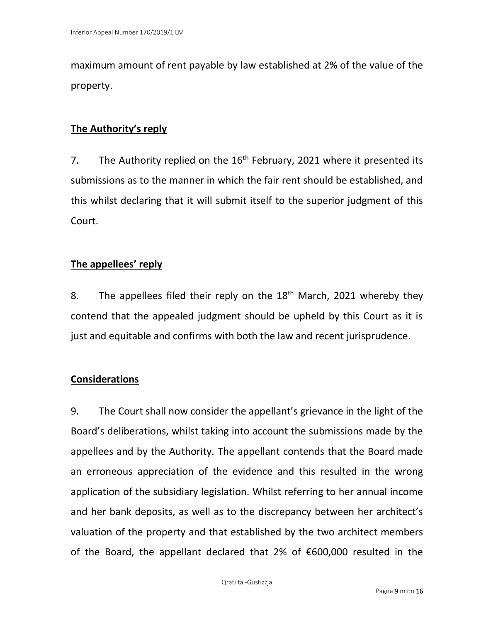maximum amount of rent payable by law established at 2% of the value of the property.

# **The Authority's reply**

7. The Authority replied on the  $16<sup>th</sup>$  February, 2021 where it presented its submissions as to the manner in which the fair rent should be established, and this whilst declaring that it will submit itself to the superior judgment of this Court.

## **The appellees' reply**

8. The appellees filed their reply on the  $18<sup>th</sup>$  March, 2021 whereby they contend that the appealed judgment should be upheld by this Court as it is just and equitable and confirms with both the law and recent jurisprudence.

### **Considerations**

9. The Court shall now consider the appellant's grievance in the light of the Board's deliberations, whilst taking into account the submissions made by the appellees and by the Authority. The appellant contends that the Board made an erroneous appreciation of the evidence and this resulted in the wrong application of the subsidiary legislation. Whilst referring to her annual income and her bank deposits, as well as to the discrepancy between her architect's valuation of the property and that established by the two architect members of the Board, the appellant declared that 2% of €600,000 resulted in the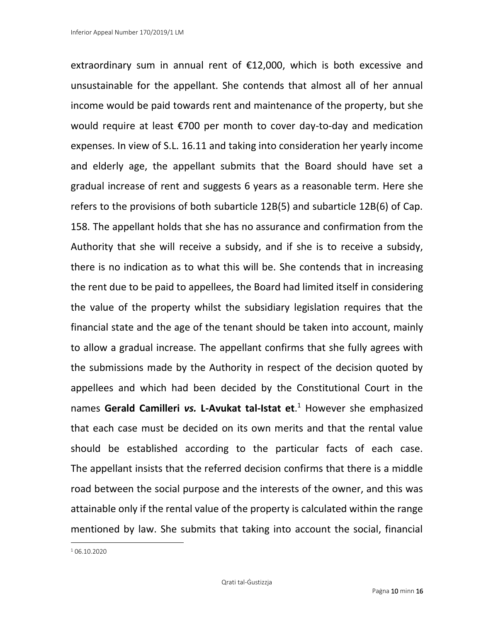extraordinary sum in annual rent of  $£12,000$ , which is both excessive and unsustainable for the appellant. She contends that almost all of her annual income would be paid towards rent and maintenance of the property, but she would require at least €700 per month to cover day-to-day and medication expenses. In view of S.L. 16.11 and taking into consideration her yearly income and elderly age, the appellant submits that the Board should have set a gradual increase of rent and suggests 6 years as a reasonable term. Here she refers to the provisions of both subarticle 12B(5) and subarticle 12B(6) of Cap. 158. The appellant holds that she has no assurance and confirmation from the Authority that she will receive a subsidy, and if she is to receive a subsidy, there is no indication as to what this will be. She contends that in increasing the rent due to be paid to appellees, the Board had limited itself in considering the value of the property whilst the subsidiary legislation requires that the financial state and the age of the tenant should be taken into account, mainly to allow a gradual increase. The appellant confirms that she fully agrees with the submissions made by the Authority in respect of the decision quoted by appellees and which had been decided by the Constitutional Court in the names **Gerald Camilleri** *vs.* **L-Avukat tal-Istat et**. <sup>1</sup> However she emphasized that each case must be decided on its own merits and that the rental value should be established according to the particular facts of each case. The appellant insists that the referred decision confirms that there is a middle road between the social purpose and the interests of the owner, and this was attainable only if the rental value of the property is calculated within the range mentioned by law. She submits that taking into account the social, financial

<sup>1</sup> 06.10.2020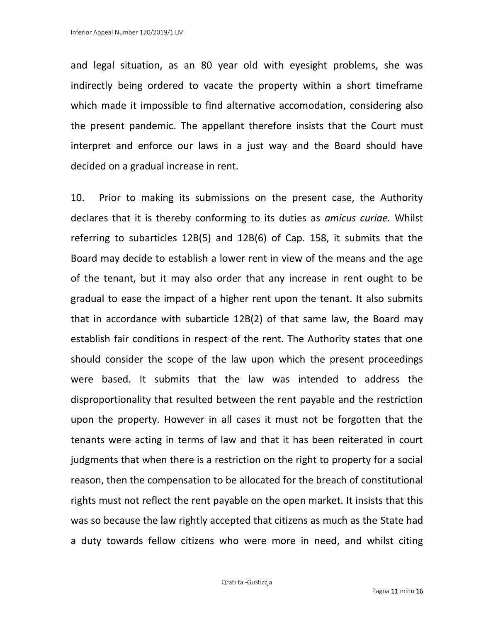and legal situation, as an 80 year old with eyesight problems, she was indirectly being ordered to vacate the property within a short timeframe which made it impossible to find alternative accomodation, considering also the present pandemic. The appellant therefore insists that the Court must interpret and enforce our laws in a just way and the Board should have decided on a gradual increase in rent.

10. Prior to making its submissions on the present case, the Authority declares that it is thereby conforming to its duties as *amicus curiae.* Whilst referring to subarticles 12B(5) and 12B(6) of Cap. 158, it submits that the Board may decide to establish a lower rent in view of the means and the age of the tenant, but it may also order that any increase in rent ought to be gradual to ease the impact of a higher rent upon the tenant. It also submits that in accordance with subarticle 12B(2) of that same law, the Board may establish fair conditions in respect of the rent. The Authority states that one should consider the scope of the law upon which the present proceedings were based. It submits that the law was intended to address the disproportionality that resulted between the rent payable and the restriction upon the property. However in all cases it must not be forgotten that the tenants were acting in terms of law and that it has been reiterated in court judgments that when there is a restriction on the right to property for a social reason, then the compensation to be allocated for the breach of constitutional rights must not reflect the rent payable on the open market. It insists that this was so because the law rightly accepted that citizens as much as the State had a duty towards fellow citizens who were more in need, and whilst citing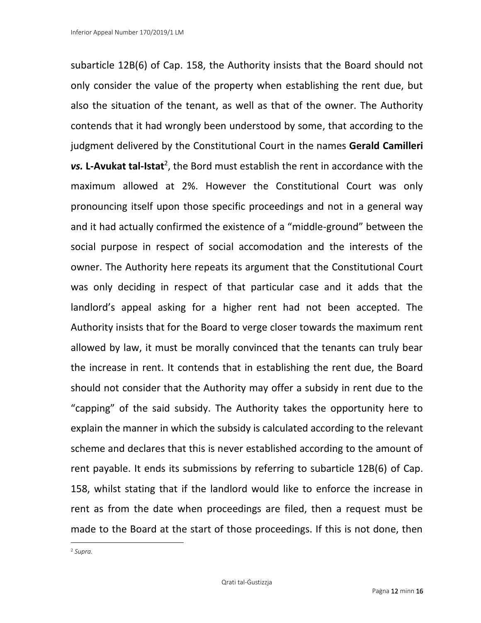subarticle 12B(6) of Cap. 158, the Authority insists that the Board should not only consider the value of the property when establishing the rent due, but also the situation of the tenant, as well as that of the owner. The Authority contends that it had wrongly been understood by some, that according to the judgment delivered by the Constitutional Court in the names **Gerald Camilleri**  vs. L-Avukat tal-Istat<sup>2</sup>, the Bord must establish the rent in accordance with the maximum allowed at 2%. However the Constitutional Court was only pronouncing itself upon those specific proceedings and not in a general way and it had actually confirmed the existence of a "middle-ground" between the social purpose in respect of social accomodation and the interests of the owner. The Authority here repeats its argument that the Constitutional Court was only deciding in respect of that particular case and it adds that the landlord's appeal asking for a higher rent had not been accepted. The Authority insists that for the Board to verge closer towards the maximum rent allowed by law, it must be morally convinced that the tenants can truly bear the increase in rent. It contends that in establishing the rent due, the Board should not consider that the Authority may offer a subsidy in rent due to the "capping" of the said subsidy. The Authority takes the opportunity here to explain the manner in which the subsidy is calculated according to the relevant scheme and declares that this is never established according to the amount of rent payable. It ends its submissions by referring to subarticle 12B(6) of Cap. 158, whilst stating that if the landlord would like to enforce the increase in rent as from the date when proceedings are filed, then a request must be made to the Board at the start of those proceedings. If this is not done, then

<sup>2</sup> *Supra.*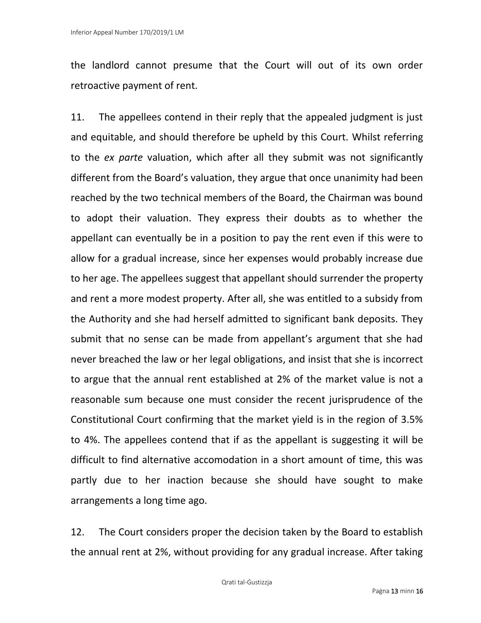the landlord cannot presume that the Court will out of its own order retroactive payment of rent.

11. The appellees contend in their reply that the appealed judgment is just and equitable, and should therefore be upheld by this Court. Whilst referring to the *ex parte* valuation, which after all they submit was not significantly different from the Board's valuation, they argue that once unanimity had been reached by the two technical members of the Board, the Chairman was bound to adopt their valuation. They express their doubts as to whether the appellant can eventually be in a position to pay the rent even if this were to allow for a gradual increase, since her expenses would probably increase due to her age. The appellees suggest that appellant should surrender the property and rent a more modest property. After all, she was entitled to a subsidy from the Authority and she had herself admitted to significant bank deposits. They submit that no sense can be made from appellant's argument that she had never breached the law or her legal obligations, and insist that she is incorrect to argue that the annual rent established at 2% of the market value is not a reasonable sum because one must consider the recent jurisprudence of the Constitutional Court confirming that the market yield is in the region of 3.5% to 4%. The appellees contend that if as the appellant is suggesting it will be difficult to find alternative accomodation in a short amount of time, this was partly due to her inaction because she should have sought to make arrangements a long time ago.

12. The Court considers proper the decision taken by the Board to establish the annual rent at 2%, without providing for any gradual increase. After taking

Qrati tal-Ġustizzja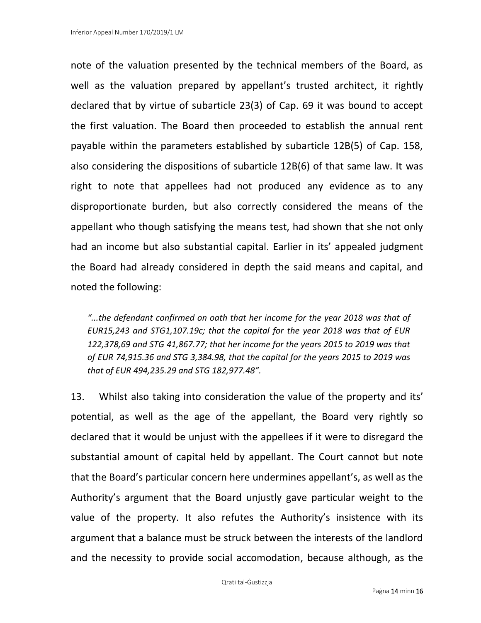note of the valuation presented by the technical members of the Board, as well as the valuation prepared by appellant's trusted architect, it rightly declared that by virtue of subarticle 23(3) of Cap. 69 it was bound to accept the first valuation. The Board then proceeded to establish the annual rent payable within the parameters established by subarticle 12B(5) of Cap. 158, also considering the dispositions of subarticle 12B(6) of that same law. It was right to note that appellees had not produced any evidence as to any disproportionate burden, but also correctly considered the means of the appellant who though satisfying the means test, had shown that she not only had an income but also substantial capital. Earlier in its' appealed judgment the Board had already considered in depth the said means and capital, and noted the following:

*"...the defendant confirmed on oath that her income for the year 2018 was that of EUR15,243 and STG1,107.19c; that the capital for the year 2018 was that of EUR 122,378,69 and STG 41,867.77; that her income for the years 2015 to 2019 was that of EUR 74,915.36 and STG 3,384.98, that the capital for the years 2015 to 2019 was that of EUR 494,235.29 and STG 182,977.48".*

13. Whilst also taking into consideration the value of the property and its' potential, as well as the age of the appellant, the Board very rightly so declared that it would be unjust with the appellees if it were to disregard the substantial amount of capital held by appellant. The Court cannot but note that the Board's particular concern here undermines appellant's, as well as the Authority's argument that the Board unjustly gave particular weight to the value of the property. It also refutes the Authority's insistence with its argument that a balance must be struck between the interests of the landlord and the necessity to provide social accomodation, because although, as the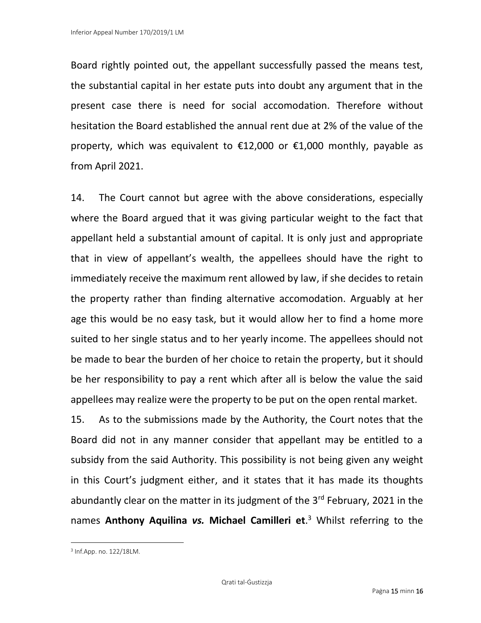Board rightly pointed out, the appellant successfully passed the means test, the substantial capital in her estate puts into doubt any argument that in the present case there is need for social accomodation. Therefore without hesitation the Board established the annual rent due at 2% of the value of the property, which was equivalent to  $\epsilon$ 12,000 or  $\epsilon$ 1,000 monthly, payable as from April 2021.

14. The Court cannot but agree with the above considerations, especially where the Board argued that it was giving particular weight to the fact that appellant held a substantial amount of capital. It is only just and appropriate that in view of appellant's wealth, the appellees should have the right to immediately receive the maximum rent allowed by law, if she decides to retain the property rather than finding alternative accomodation. Arguably at her age this would be no easy task, but it would allow her to find a home more suited to her single status and to her yearly income. The appellees should not be made to bear the burden of her choice to retain the property, but it should be her responsibility to pay a rent which after all is below the value the said appellees may realize were the property to be put on the open rental market.

15. As to the submissions made by the Authority, the Court notes that the Board did not in any manner consider that appellant may be entitled to a subsidy from the said Authority. This possibility is not being given any weight in this Court's judgment either, and it states that it has made its thoughts abundantly clear on the matter in its judgment of the  $3<sup>rd</sup>$  February, 2021 in the names **Anthony Aquilina** *vs.* **Michael Camilleri et**. <sup>3</sup> Whilst referring to the

<sup>3</sup> Inf.App. no. 122/18LM.